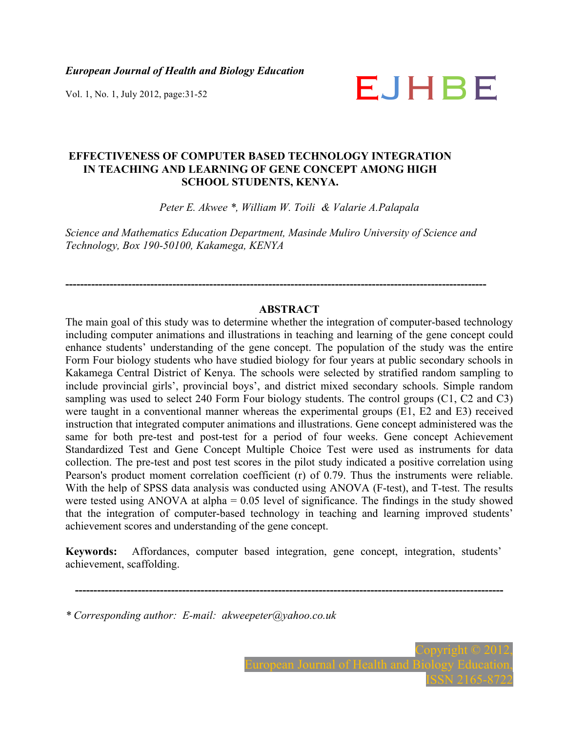*European Journal of Health and Biology Education* 

# Vol. 1, No. 1, July 2012, page:31-52  $\blacksquare$

# **EFFECTIVENESS OF COMPUTER BASED TECHNOLOGY INTEGRATION IN TEACHING AND LEARNING OF GENE CONCEPT AMONG HIGH SCHOOL STUDENTS, KENYA.**

*Peter E. Akwee \*, William W. Toili & Valarie A.Palapala*

*Science and Mathematics Education Department, Masinde Muliro University of Science and Technology, Box 190-50100, Kakamega, KENYA*

**------------------------------------------------------------------------------------------------------------------** 

# **ABSTRACT**

The main goal of this study was to determine whether the integration of computer-based technology including computer animations and illustrations in teaching and learning of the gene concept could enhance students' understanding of the gene concept. The population of the study was the entire Form Four biology students who have studied biology for four years at public secondary schools in Kakamega Central District of Kenya. The schools were selected by stratified random sampling to include provincial girls', provincial boys', and district mixed secondary schools. Simple random sampling was used to select 240 Form Four biology students. The control groups (C1, C2 and C3) were taught in a conventional manner whereas the experimental groups (E1, E2 and E3) received instruction that integrated computer animations and illustrations. Gene concept administered was the same for both pre-test and post-test for a period of four weeks. Gene concept Achievement Standardized Test and Gene Concept Multiple Choice Test were used as instruments for data collection. The pre-test and post test scores in the pilot study indicated a positive correlation using Pearson's product moment correlation coefficient (r) of 0.79. Thus the instruments were reliable. With the help of SPSS data analysis was conducted using ANOVA (F-test), and T-test. The results were tested using ANOVA at alpha =  $0.05$  level of significance. The findings in the study showed that the integration of computer-based technology in teaching and learning improved students' achievement scores and understanding of the gene concept.

**Keywords:** Affordances, computer based integration, gene concept, integration, students' achievement, scaffolding.

**--------------------------------------------------------------------------------------------------------------------** 

*\* Corresponding author: E-mail: akweepeter@yahoo.co.uk*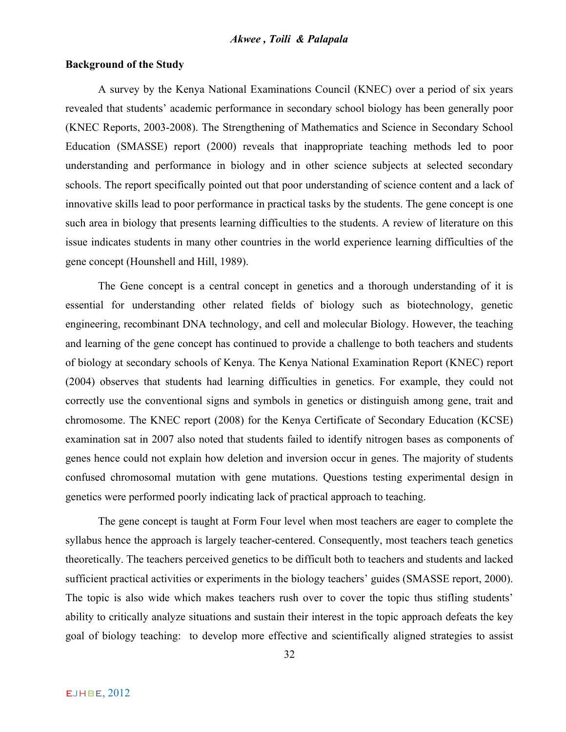#### **Background of the Study**

A survey by the Kenya National Examinations Council (KNEC) over a period of six years revealed that students' academic performance in secondary school biology has been generally poor (KNEC Reports, 2003-2008). The Strengthening of Mathematics and Science in Secondary School Education (SMASSE) report (2000) reveals that inappropriate teaching methods led to poor understanding and performance in biology and in other science subjects at selected secondary schools. The report specifically pointed out that poor understanding of science content and a lack of innovative skills lead to poor performance in practical tasks by the students. The gene concept is one such area in biology that presents learning difficulties to the students. A review of literature on this issue indicates students in many other countries in the world experience learning difficulties of the gene concept (Hounshell and Hill, 1989).

The Gene concept is a central concept in genetics and a thorough understanding of it is essential for understanding other related fields of biology such as biotechnology, genetic engineering, recombinant DNA technology, and cell and molecular Biology. However, the teaching and learning of the gene concept has continued to provide a challenge to both teachers and students of biology at secondary schools of Kenya. The Kenya National Examination Report (KNEC) report (2004) observes that students had learning difficulties in genetics. For example, they could not correctly use the conventional signs and symbols in genetics or distinguish among gene, trait and chromosome. The KNEC report (2008) for the Kenya Certificate of Secondary Education (KCSE) examination sat in 2007 also noted that students failed to identify nitrogen bases as components of genes hence could not explain how deletion and inversion occur in genes. The majority of students confused chromosomal mutation with gene mutations. Questions testing experimental design in genetics were performed poorly indicating lack of practical approach to teaching.

The gene concept is taught at Form Four level when most teachers are eager to complete the syllabus hence the approach is largely teacher-centered. Consequently, most teachers teach genetics theoretically. The teachers perceived genetics to be difficult both to teachers and students and lacked sufficient practical activities or experiments in the biology teachers' guides (SMASSE report, 2000). The topic is also wide which makes teachers rush over to cover the topic thus stifling students' ability to critically analyze situations and sustain their interest in the topic approach defeats the key goal of biology teaching: to develop more effective and scientifically aligned strategies to assist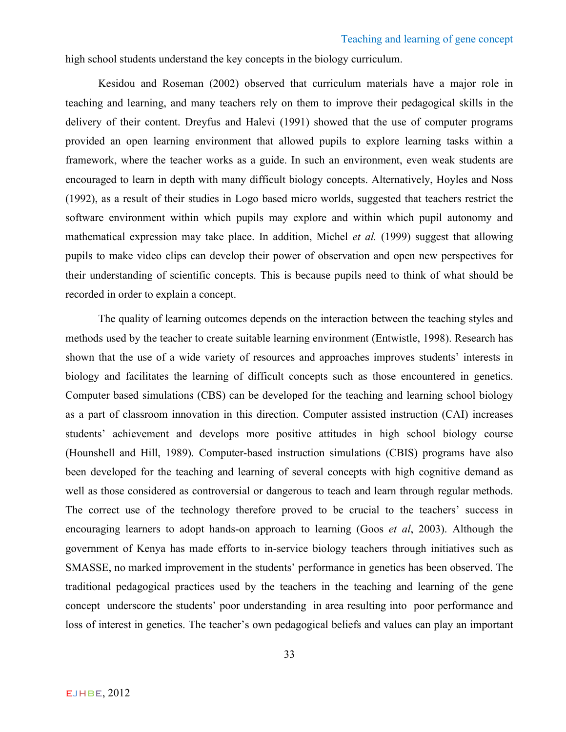high school students understand the key concepts in the biology curriculum.

Kesidou and Roseman (2002) observed that curriculum materials have a major role in teaching and learning, and many teachers rely on them to improve their pedagogical skills in the delivery of their content. Dreyfus and Halevi (1991) showed that the use of computer programs provided an open learning environment that allowed pupils to explore learning tasks within a framework, where the teacher works as a guide. In such an environment, even weak students are encouraged to learn in depth with many difficult biology concepts. Alternatively, Hoyles and Noss (1992), as a result of their studies in Logo based micro worlds, suggested that teachers restrict the software environment within which pupils may explore and within which pupil autonomy and mathematical expression may take place. In addition, Michel *et al.* (1999) suggest that allowing pupils to make video clips can develop their power of observation and open new perspectives for their understanding of scientific concepts. This is because pupils need to think of what should be recorded in order to explain a concept.

The quality of learning outcomes depends on the interaction between the teaching styles and methods used by the teacher to create suitable learning environment (Entwistle, 1998). Research has shown that the use of a wide variety of resources and approaches improves students' interests in biology and facilitates the learning of difficult concepts such as those encountered in genetics. Computer based simulations (CBS) can be developed for the teaching and learning school biology as a part of classroom innovation in this direction. Computer assisted instruction (CAI) increases students' achievement and develops more positive attitudes in high school biology course (Hounshell and Hill, 1989). Computer-based instruction simulations (CBIS) programs have also been developed for the teaching and learning of several concepts with high cognitive demand as well as those considered as controversial or dangerous to teach and learn through regular methods. The correct use of the technology therefore proved to be crucial to the teachers' success in encouraging learners to adopt hands-on approach to learning (Goos *et al*, 2003). Although the government of Kenya has made efforts to in-service biology teachers through initiatives such as SMASSE, no marked improvement in the students' performance in genetics has been observed. The traditional pedagogical practices used by the teachers in the teaching and learning of the gene concept underscore the students' poor understanding in area resulting into poor performance and loss of interest in genetics. The teacher's own pedagogical beliefs and values can play an important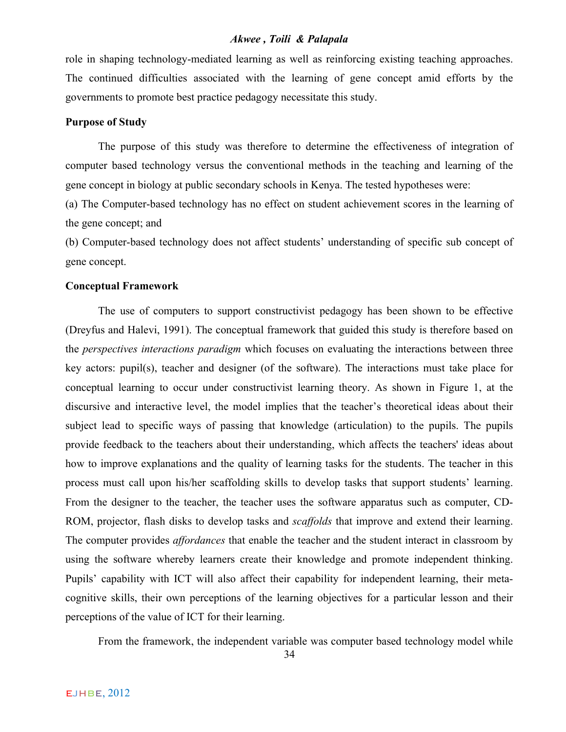role in shaping technology-mediated learning as well as reinforcing existing teaching approaches. The continued difficulties associated with the learning of gene concept amid efforts by the governments to promote best practice pedagogy necessitate this study.

# **Purpose of Study**

The purpose of this study was therefore to determine the effectiveness of integration of computer based technology versus the conventional methods in the teaching and learning of the gene concept in biology at public secondary schools in Kenya. The tested hypotheses were:

(a) The Computer-based technology has no effect on student achievement scores in the learning of the gene concept; and

(b) Computer-based technology does not affect students' understanding of specific sub concept of gene concept.

#### **Conceptual Framework**

The use of computers to support constructivist pedagogy has been shown to be effective (Dreyfus and Halevi, 1991). The conceptual framework that guided this study is therefore based on the *perspectives interactions paradigm* which focuses on evaluating the interactions between three key actors: pupil(s), teacher and designer (of the software). The interactions must take place for conceptual learning to occur under constructivist learning theory. As shown in Figure 1, at the discursive and interactive level, the model implies that the teacher's theoretical ideas about their subject lead to specific ways of passing that knowledge (articulation) to the pupils. The pupils provide feedback to the teachers about their understanding, which affects the teachers' ideas about how to improve explanations and the quality of learning tasks for the students. The teacher in this process must call upon his/her scaffolding skills to develop tasks that support students' learning. From the designer to the teacher, the teacher uses the software apparatus such as computer, CD-ROM, projector, flash disks to develop tasks and *scaffolds* that improve and extend their learning. The computer provides *affordances* that enable the teacher and the student interact in classroom by using the software whereby learners create their knowledge and promote independent thinking. Pupils' capability with ICT will also affect their capability for independent learning, their metacognitive skills, their own perceptions of the learning objectives for a particular lesson and their perceptions of the value of ICT for their learning.

From the framework, the independent variable was computer based technology model while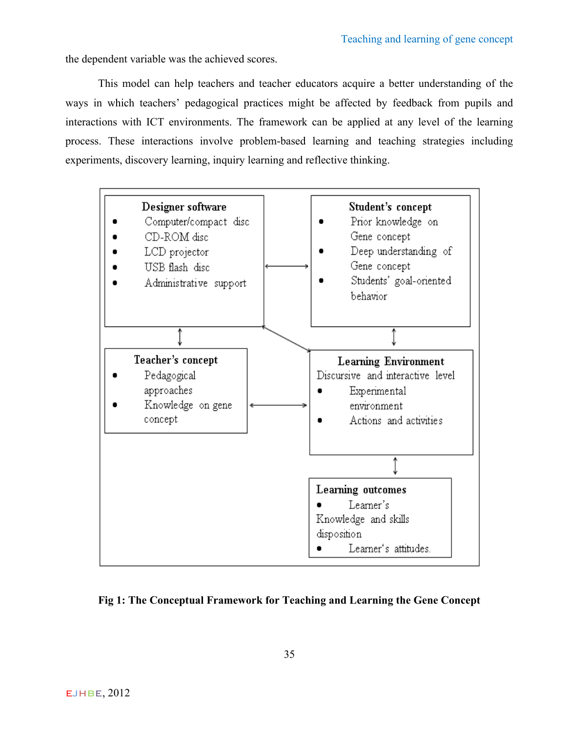the dependent variable was the achieved scores.

This model can help teachers and teacher educators acquire a better understanding of the ways in which teachers' pedagogical practices might be affected by feedback from pupils and interactions with ICT environments. The framework can be applied at any level of the learning process. These interactions involve problem-based learning and teaching strategies including experiments, discovery learning, inquiry learning and reflective thinking.



**Fig 1: The Conceptual Framework for Teaching and Learning the Gene Concept**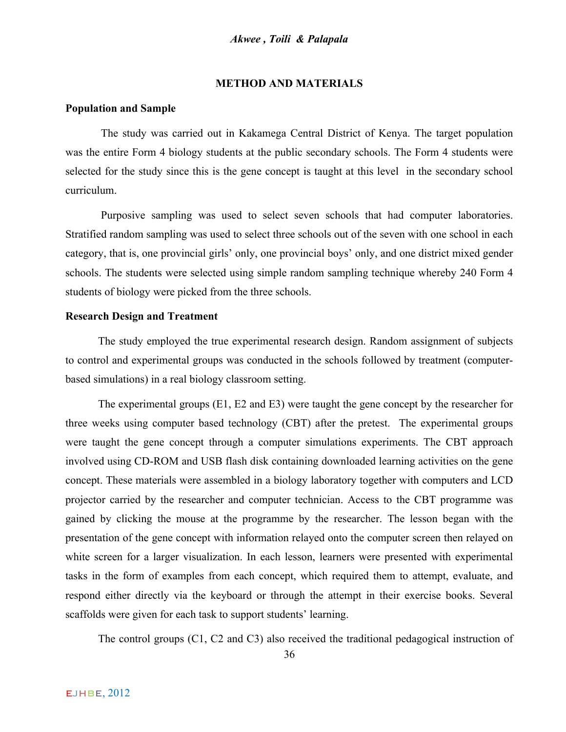#### **METHOD AND MATERIALS**

#### **Population and Sample**

The study was carried out in Kakamega Central District of Kenya. The target population was the entire Form 4 biology students at the public secondary schools. The Form 4 students were selected for the study since this is the gene concept is taught at this level in the secondary school curriculum.

Purposive sampling was used to select seven schools that had computer laboratories. Stratified random sampling was used to select three schools out of the seven with one school in each category, that is, one provincial girls' only, one provincial boys' only, and one district mixed gender schools. The students were selected using simple random sampling technique whereby 240 Form 4 students of biology were picked from the three schools.

#### **Research Design and Treatment**

The study employed the true experimental research design. Random assignment of subjects to control and experimental groups was conducted in the schools followed by treatment (computerbased simulations) in a real biology classroom setting.

The experimental groups (E1, E2 and E3) were taught the gene concept by the researcher for three weeks using computer based technology (CBT) after the pretest. The experimental groups were taught the gene concept through a computer simulations experiments. The CBT approach involved using CD-ROM and USB flash disk containing downloaded learning activities on the gene concept. These materials were assembled in a biology laboratory together with computers and LCD projector carried by the researcher and computer technician. Access to the CBT programme was gained by clicking the mouse at the programme by the researcher. The lesson began with the presentation of the gene concept with information relayed onto the computer screen then relayed on white screen for a larger visualization. In each lesson, learners were presented with experimental tasks in the form of examples from each concept, which required them to attempt, evaluate, and respond either directly via the keyboard or through the attempt in their exercise books. Several scaffolds were given for each task to support students' learning.

The control groups (C1, C2 and C3) also received the traditional pedagogical instruction of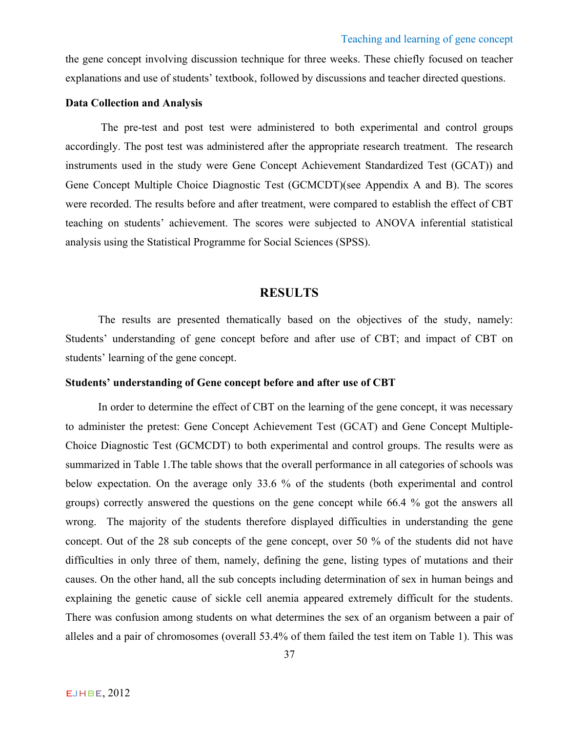the gene concept involving discussion technique for three weeks. These chiefly focused on teacher explanations and use of students' textbook, followed by discussions and teacher directed questions.

# **Data Collection and Analysis**

The pre-test and post test were administered to both experimental and control groups accordingly. The post test was administered after the appropriate research treatment. The research instruments used in the study were Gene Concept Achievement Standardized Test (GCAT)) and Gene Concept Multiple Choice Diagnostic Test (GCMCDT)(see Appendix A and B). The scores were recorded. The results before and after treatment, were compared to establish the effect of CBT teaching on students' achievement. The scores were subjected to ANOVA inferential statistical analysis using the Statistical Programme for Social Sciences (SPSS).

# **RESULTS**

The results are presented thematically based on the objectives of the study, namely: Students' understanding of gene concept before and after use of CBT; and impact of CBT on students' learning of the gene concept.

#### **Students' understanding of Gene concept before and after use of CBT**

In order to determine the effect of CBT on the learning of the gene concept, it was necessary to administer the pretest: Gene Concept Achievement Test (GCAT) and Gene Concept Multiple-Choice Diagnostic Test (GCMCDT) to both experimental and control groups. The results were as summarized in Table 1.The table shows that the overall performance in all categories of schools was below expectation. On the average only 33.6 % of the students (both experimental and control groups) correctly answered the questions on the gene concept while 66.4 % got the answers all wrong. The majority of the students therefore displayed difficulties in understanding the gene concept. Out of the 28 sub concepts of the gene concept, over 50 % of the students did not have difficulties in only three of them, namely, defining the gene, listing types of mutations and their causes. On the other hand, all the sub concepts including determination of sex in human beings and explaining the genetic cause of sickle cell anemia appeared extremely difficult for the students. There was confusion among students on what determines the sex of an organism between a pair of alleles and a pair of chromosomes (overall 53.4% of them failed the test item on Table 1). This was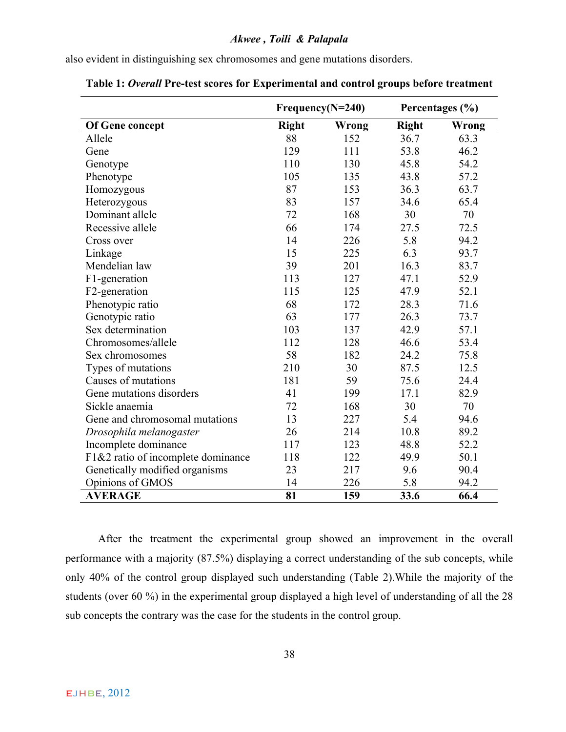also evident in distinguishing sex chromosomes and gene mutations disorders.

|                                    |                       | $Frequency(N=240)$ |              | Percentages (%) |
|------------------------------------|-----------------------|--------------------|--------------|-----------------|
| <b>Of Gene concept</b>             | <b>Right</b><br>Wrong |                    | <b>Right</b> | Wrong           |
| Allele                             | 88                    | 152                | 36.7         | 63.3            |
| Gene                               | 129                   | 111                | 53.8         | 46.2            |
| Genotype                           | 110                   | 130                | 45.8         | 54.2            |
| Phenotype                          | 105                   | 135                | 43.8         | 57.2            |
| Homozygous                         | 87                    | 153                | 36.3         | 63.7            |
| Heterozygous                       | 83                    | 157                | 34.6         | 65.4            |
| Dominant allele                    | 72                    | 168                | 30           | 70              |
| Recessive allele                   | 66                    | 174                | 27.5         | 72.5            |
| Cross over                         | 14                    | 226                | 5.8          | 94.2            |
| Linkage                            | 15                    | 225                | 6.3          | 93.7            |
| Mendelian law                      | 39                    | 201                | 16.3         | 83.7            |
| F1-generation                      | 113                   | 127                | 47.1         | 52.9            |
| F2-generation                      | 115                   | 125                | 47.9         | 52.1            |
| Phenotypic ratio                   | 68                    | 172                | 28.3         | 71.6            |
| Genotypic ratio                    | 63                    | 177                | 26.3         | 73.7            |
| Sex determination                  | 103                   | 137                | 42.9         | 57.1            |
| Chromosomes/allele                 | 112                   | 128                | 46.6         | 53.4            |
| Sex chromosomes                    | 58                    | 182                | 24.2         | 75.8            |
| Types of mutations                 | 210                   | 30                 | 87.5         | 12.5            |
| Causes of mutations                | 181                   | 59                 | 75.6         | 24.4            |
| Gene mutations disorders           | 41                    | 199                | 17.1         | 82.9            |
| Sickle anaemia                     | 72                    | 168                | 30           | 70              |
| Gene and chromosomal mutations     | 13                    | 227                | 5.4          | 94.6            |
| Drosophila melanogaster            | 26                    | 214                | 10.8         | 89.2            |
| Incomplete dominance               | 117                   | 123                | 48.8         | 52.2            |
| F1&2 ratio of incomplete dominance | 118                   | 122                | 49.9         | 50.1            |
| Genetically modified organisms     | 23                    | 217                | 9.6          | 90.4            |
| Opinions of GMOS                   | 14                    | 226                | 5.8          | 94.2            |
| <b>AVERAGE</b>                     | 81                    | 159                | 33.6         | 66.4            |

**Table 1:** *Overall* **Pre-test scores for Experimental and control groups before treatment**

After the treatment the experimental group showed an improvement in the overall performance with a majority (87.5%) displaying a correct understanding of the sub concepts, while only 40% of the control group displayed such understanding (Table 2).While the majority of the students (over 60 %) in the experimental group displayed a high level of understanding of all the 28 sub concepts the contrary was the case for the students in the control group.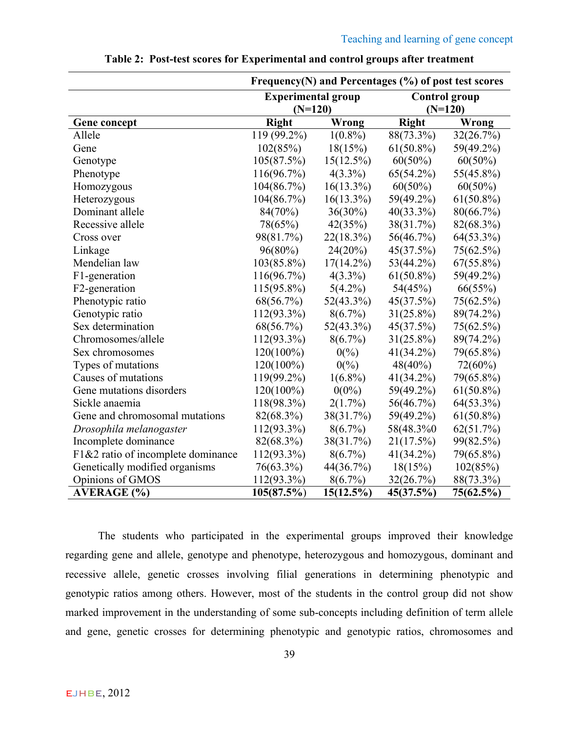|                                    | Frequency(N) and Percentages (%) of post test scores |                  |                                   |              |  |  |  |
|------------------------------------|------------------------------------------------------|------------------|-----------------------------------|--------------|--|--|--|
|                                    | <b>Experimental group</b><br>$(N=120)$               |                  | <b>Control group</b><br>$(N=120)$ |              |  |  |  |
| <b>Gene concept</b>                | <b>Right</b>                                         | Wrong            |                                   | Wrong        |  |  |  |
| Allele                             | 119 (99.2%)                                          | $1(0.8\%)$       | 88(73.3%)                         | 32(26.7%)    |  |  |  |
| Gene                               | 102(85%)                                             | 18(15%)          | $61(50.8\%)$                      | 59(49.2%)    |  |  |  |
| Genotype                           | 105(87.5%)                                           | $15(12.5\%)$     | $60(50\%)$                        | $60(50\%)$   |  |  |  |
| Phenotype                          | $116(96.7\%)$                                        | $4(3.3\%)$       | $65(54.2\%)$                      | 55(45.8%)    |  |  |  |
| Homozygous                         | 104(86.7%)                                           | $16(13.3\%)$     | $60(50\%)$                        | $60(50\%)$   |  |  |  |
| Heterozygous                       | 104(86.7%)                                           | $16(13.3\%)$     | 59(49.2%)                         | $61(50.8\%)$ |  |  |  |
| Dominant allele                    | 84(70%)                                              | $36(30\%)$       | $40(33.3\%)$                      | 80(66.7%)    |  |  |  |
| Recessive allele                   | 78(65%)                                              | 42(35%)          | 38(31.7%)                         | 82(68.3%)    |  |  |  |
| Cross over                         | 98(81.7%)                                            | 22(18.3%)        | 56(46.7%)                         | $64(53.3\%)$ |  |  |  |
| Linkage                            | $96(80\%)$                                           | 24(20%)          | 45(37.5%)                         | 75(62.5%)    |  |  |  |
| Mendelian law                      | 103(85.8%)                                           | $17(14.2\%)$     | $53(44.2\%)$                      | $67(55.8\%)$ |  |  |  |
| F1-generation                      | 116(96.7%)                                           | $4(3.3\%)$       | $61(50.8\%)$                      | 59(49.2%)    |  |  |  |
| F <sub>2</sub> -generation         | $115(95.8\%)$                                        | $5(4.2\%)$       | 54(45%)                           | 66(55%)      |  |  |  |
| Phenotypic ratio                   | 68(56.7%)                                            | $52(43.3\%)$     | 45(37.5%)                         | 75(62.5%)    |  |  |  |
| Genotypic ratio                    | 112(93.3%)                                           | $8(6.7\%)$       | $31(25.8\%)$                      | 89(74.2%)    |  |  |  |
| Sex determination                  | 68(56.7%)                                            | $52(43.3\%)$     | 45(37.5%)                         | 75(62.5%)    |  |  |  |
| Chromosomes/allele                 | 112(93.3%)                                           | $8(6.7\%)$       | $31(25.8\%)$                      | 89(74.2%)    |  |  |  |
| Sex chromosomes                    | $120(100\%)$                                         | $0\frac{6}{2}$   | $41(34.2\%)$                      | 79(65.8%)    |  |  |  |
| Types of mutations                 | $120(100\%)$                                         | $0\frac{\%}{\%}$ | $48(40\%)$                        | $72(60\%)$   |  |  |  |
| Causes of mutations                | 119(99.2%)                                           | $1(6.8\%)$       | $41(34.2\%)$                      | 79(65.8%)    |  |  |  |
| Gene mutations disorders           | $120(100\%)$                                         | $0(0\%)$         | 59(49.2%)                         | $61(50.8\%)$ |  |  |  |
| Sickle anaemia                     | 118(98.3%)                                           | $2(1.7\%)$       | 56(46.7%)                         | $64(53.3\%)$ |  |  |  |
| Gene and chromosomal mutations     | 82(68.3%)                                            | 38(31.7%)        | 59(49.2%)                         | $61(50.8\%)$ |  |  |  |
| Drosophila melanogaster            | $112(93.3\%)$                                        | $8(6.7\%)$       | 58(48.3%0)                        | 62(51.7%)    |  |  |  |
| Incomplete dominance               | 82(68.3%)                                            | 38(31.7%)        | 21(17.5%)                         | 99(82.5%)    |  |  |  |
| F1&2 ratio of incomplete dominance | 112(93.3%)                                           | $8(6.7\%)$       | $41(34.2\%)$                      | 79(65.8%)    |  |  |  |
| Genetically modified organisms     | 76(63.3%)                                            | 44(36.7%)        | 18(15%)                           | 102(85%)     |  |  |  |
| Opinions of GMOS                   | $112(93.3\%)$                                        | $8(6.7\%)$       | 32(26.7%)                         | 88(73.3%)    |  |  |  |
| <b>AVERAGE</b> (%)                 | 105(87.5%)                                           | 15(12.5%)        | 45(37.5%)                         | 75(62.5%)    |  |  |  |

**Table 2: Post-test scores for Experimental and control groups after treatment**

The students who participated in the experimental groups improved their knowledge regarding gene and allele, genotype and phenotype, heterozygous and homozygous, dominant and recessive allele, genetic crosses involving filial generations in determining phenotypic and genotypic ratios among others. However, most of the students in the control group did not show marked improvement in the understanding of some sub-concepts including definition of term allele and gene, genetic crosses for determining phenotypic and genotypic ratios, chromosomes and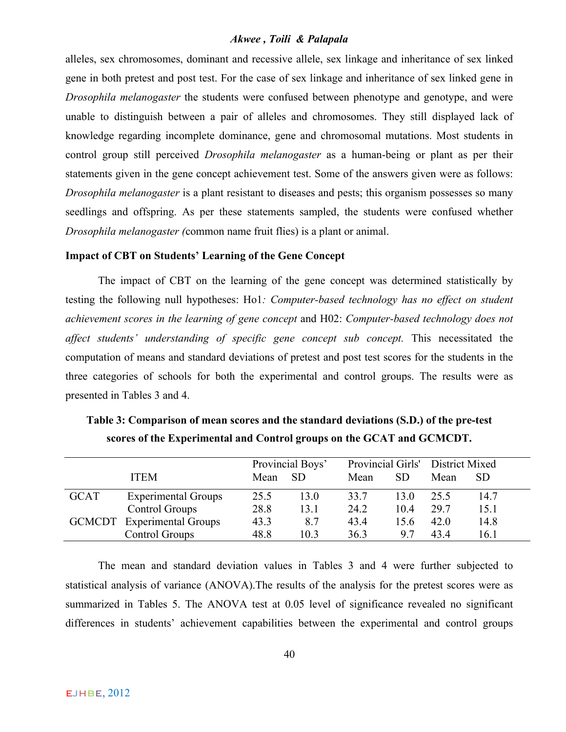alleles, sex chromosomes, dominant and recessive allele, sex linkage and inheritance of sex linked gene in both pretest and post test. For the case of sex linkage and inheritance of sex linked gene in *Drosophila melanogaster* the students were confused between phenotype and genotype, and were unable to distinguish between a pair of alleles and chromosomes. They still displayed lack of knowledge regarding incomplete dominance, gene and chromosomal mutations. Most students in control group still perceived *Drosophila melanogaster* as a human-being or plant as per their statements given in the gene concept achievement test. Some of the answers given were as follows: *Drosophila melanogaster* is a plant resistant to diseases and pests; this organism possesses so many seedlings and offspring. As per these statements sampled, the students were confused whether *Drosophila melanogaster (*common name fruit flies) is a plant or animal.

#### **Impact of CBT on Students' Learning of the Gene Concept**

The impact of CBT on the learning of the gene concept was determined statistically by testing the following null hypotheses: Ho1*: Computer-based technology has no effect on student achievement scores in the learning of gene concept* and H02: *Computer-based technology does not affect students' understanding of specific gene concept sub concept.* This necessitated the computation of means and standard deviations of pretest and post test scores for the students in the three categories of schools for both the experimental and control groups. The results were as presented in Tables 3 and 4.

|             |                                   | Provincial Boys' |           |      | Provincial Girls' District Mixed |      |           |
|-------------|-----------------------------------|------------------|-----------|------|----------------------------------|------|-----------|
| <b>ITEM</b> |                                   | Mean             | <b>SD</b> | Mean | <b>SD</b>                        | Mean | <b>SD</b> |
| <b>GCAT</b> | <b>Experimental Groups</b>        | 25.5             | 13.0      | 33.7 | 13.0                             | 25.5 | 14.7      |
|             | Control Groups                    | 28.8             | 13.1      | 24.2 | 104                              | 29.7 | 15.1      |
|             | <b>GCMCDT</b> Experimental Groups | 43.3             | 8.7       | 43.4 | 15.6                             | 42.0 | 14.8      |
|             | Control Groups                    | 48.8             | 10.3      | 36.3 | 97                               | 434  | 16.1      |

**Table 3: Comparison of mean scores and the standard deviations (S.D.) of the pre-test scores of the Experimental and Control groups on the GCAT and GCMCDT.**

The mean and standard deviation values in Tables 3 and 4 were further subjected to statistical analysis of variance (ANOVA).The results of the analysis for the pretest scores were as summarized in Tables 5. The ANOVA test at 0.05 level of significance revealed no significant differences in students' achievement capabilities between the experimental and control groups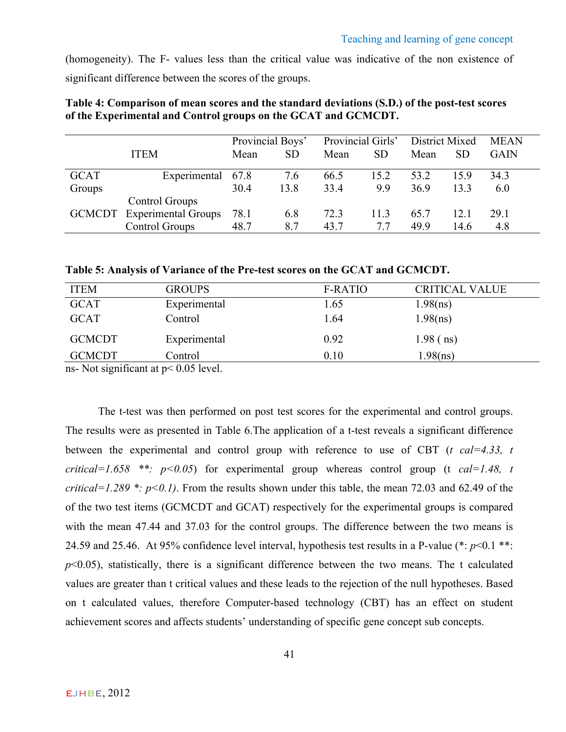(homogeneity). The F- values less than the critical value was indicative of the non existence of significant difference between the scores of the groups.

|               |                            | Provincial Boys' |      | Provincial Girls' |           | District Mixed |           | <b>MEAN</b> |  |
|---------------|----------------------------|------------------|------|-------------------|-----------|----------------|-----------|-------------|--|
|               | <b>ITEM</b>                | Mean             | SD   | Mean              | <b>SD</b> | Mean           | <b>SD</b> | GAIN        |  |
| GCAT          | Experimental 67.8          |                  | 7.6  | 66.5              | 15.2      | 53.2           | 159       | 34.3        |  |
| Groups        |                            | 30.4             | 13.8 | 33.4              | 9.9       | 36.9           | 133       | 6.0         |  |
|               | Control Groups             |                  |      |                   |           |                |           |             |  |
| <b>GCMCDT</b> | <b>Experimental Groups</b> | 78.1             | 6.8  | 72.3              | 11.3      | 65.7           | 12.1      | 29.1        |  |
|               | Control Groups             | 48.7             | 87   | 43.7              | 77        | 49.9           | 14.6      | 4.8         |  |

**Table 4: Comparison of mean scores and the standard deviations (S.D.) of the post-test scores of the Experimental and Control groups on the GCAT and GCMCDT.**

**Table 5: Analysis of Variance of the Pre-test scores on the GCAT and GCMCDT.**

| <b>ITEM</b>   | <b>GROUPS</b> | <b>F-RATIO</b> | <b>CRITICAL VALUE</b> |
|---------------|---------------|----------------|-----------------------|
| <b>GCAT</b>   | Experimental  | 1.65           | 1.98(ns)              |
| <b>GCAT</b>   | Control       | 1.64           | 1.98(ns)              |
| <b>GCMCDT</b> | Experimental  | 0.92           | $1.98$ (ns)           |
| <b>GCMCDT</b> | Control       | 0.10           | 1.98(ns)              |

ns- Not significant at  $p < 0.05$  level.

The t-test was then performed on post test scores for the experimental and control groups. The results were as presented in Table 6.The application of a t-test reveals a significant difference between the experimental and control group with reference to use of CBT (*t cal=4.33, t critical=1.658* \*\*:  $p < 0.05$  for experimental group whereas control group (t *cal=1.48, t critical=1.289 \*: p<0.1)*. From the results shown under this table, the mean 72.03 and 62.49 of the of the two test items (GCMCDT and GCAT) respectively for the experimental groups is compared with the mean 47.44 and 37.03 for the control groups. The difference between the two means is 24.59 and 25.46. At 95% confidence level interval, hypothesis test results in a P-value (\*: *p*<0.1 \*\*:  $p<0.05$ ), statistically, there is a significant difference between the two means. The t calculated values are greater than t critical values and these leads to the rejection of the null hypotheses. Based on t calculated values, therefore Computer-based technology (CBT) has an effect on student achievement scores and affects students' understanding of specific gene concept sub concepts.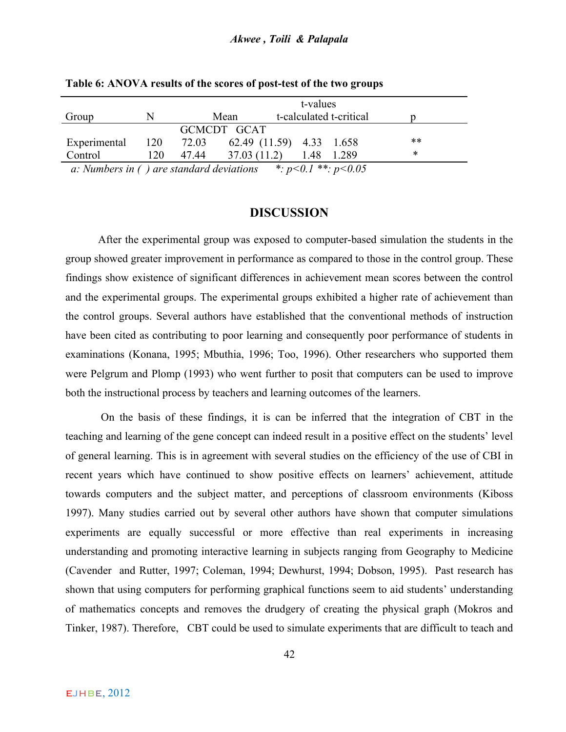|                                                                          |     | t-values                           |             |  |  |                         |  |    |  |
|--------------------------------------------------------------------------|-----|------------------------------------|-------------|--|--|-------------------------|--|----|--|
| Group                                                                    | N   |                                    | Mean        |  |  | t-calculated t-critical |  |    |  |
|                                                                          |     |                                    | GCMCDT GCAT |  |  |                         |  |    |  |
| Experimental                                                             |     | 120 72.03 62.49 (11.59) 4.33 1.658 |             |  |  |                         |  | ** |  |
| Control                                                                  | 120 | 47.44 37.03 (11.2) 1.48 1.289      |             |  |  |                         |  | ∗  |  |
| a: Numbers in () are standard deviations $\ast: p<0.1 \ast \ast: p<0.05$ |     |                                    |             |  |  |                         |  |    |  |

**Table 6: ANOVA results of the scores of post-test of the two groups**

# **DISCUSSION**

After the experimental group was exposed to computer-based simulation the students in the group showed greater improvement in performance as compared to those in the control group. These findings show existence of significant differences in achievement mean scores between the control and the experimental groups. The experimental groups exhibited a higher rate of achievement than the control groups. Several authors have established that the conventional methods of instruction have been cited as contributing to poor learning and consequently poor performance of students in examinations (Konana, 1995; Mbuthia, 1996; Too, 1996). Other researchers who supported them were Pelgrum and Plomp (1993) who went further to posit that computers can be used to improve both the instructional process by teachers and learning outcomes of the learners.

On the basis of these findings, it is can be inferred that the integration of CBT in the teaching and learning of the gene concept can indeed result in a positive effect on the students' level of general learning. This is in agreement with several studies on the efficiency of the use of CBI in recent years which have continued to show positive effects on learners' achievement, attitude towards computers and the subject matter, and perceptions of classroom environments (Kiboss 1997). Many studies carried out by several other authors have shown that computer simulations experiments are equally successful or more effective than real experiments in increasing understanding and promoting interactive learning in subjects ranging from Geography to Medicine (Cavender and Rutter, 1997; Coleman, 1994; Dewhurst, 1994; Dobson, 1995). Past research has shown that using computers for performing graphical functions seem to aid students' understanding of mathematics concepts and removes the drudgery of creating the physical graph (Mokros and Tinker, 1987). Therefore, CBT could be used to simulate experiments that are difficult to teach and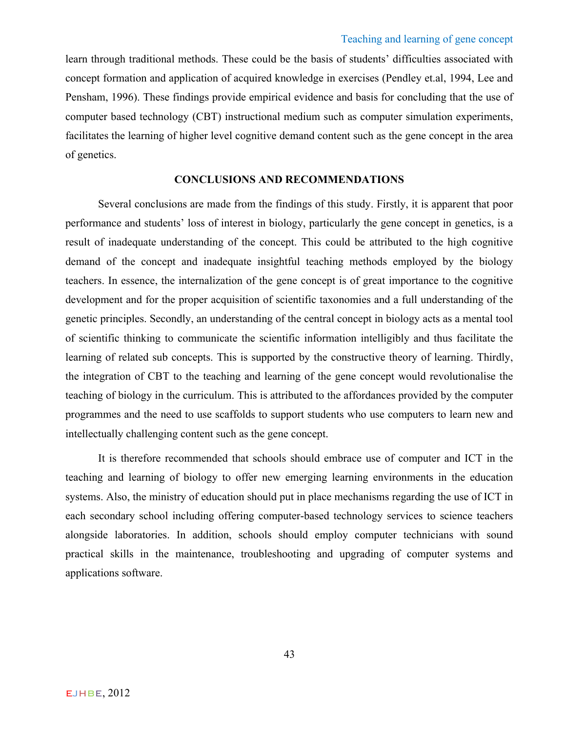learn through traditional methods. These could be the basis of students' difficulties associated with concept formation and application of acquired knowledge in exercises (Pendley et.al, 1994, Lee and Pensham, 1996). These findings provide empirical evidence and basis for concluding that the use of computer based technology (CBT) instructional medium such as computer simulation experiments, facilitates the learning of higher level cognitive demand content such as the gene concept in the area of genetics.

# **CONCLUSIONS AND RECOMMENDATIONS**

Several conclusions are made from the findings of this study. Firstly, it is apparent that poor performance and students' loss of interest in biology, particularly the gene concept in genetics, is a result of inadequate understanding of the concept. This could be attributed to the high cognitive demand of the concept and inadequate insightful teaching methods employed by the biology teachers. In essence, the internalization of the gene concept is of great importance to the cognitive development and for the proper acquisition of scientific taxonomies and a full understanding of the genetic principles. Secondly, an understanding of the central concept in biology acts as a mental tool of scientific thinking to communicate the scientific information intelligibly and thus facilitate the learning of related sub concepts. This is supported by the constructive theory of learning. Thirdly, the integration of CBT to the teaching and learning of the gene concept would revolutionalise the teaching of biology in the curriculum. This is attributed to the affordances provided by the computer programmes and the need to use scaffolds to support students who use computers to learn new and intellectually challenging content such as the gene concept.

It is therefore recommended that schools should embrace use of computer and ICT in the teaching and learning of biology to offer new emerging learning environments in the education systems. Also, the ministry of education should put in place mechanisms regarding the use of ICT in each secondary school including offering computer-based technology services to science teachers alongside laboratories. In addition, schools should employ computer technicians with sound practical skills in the maintenance, troubleshooting and upgrading of computer systems and applications software.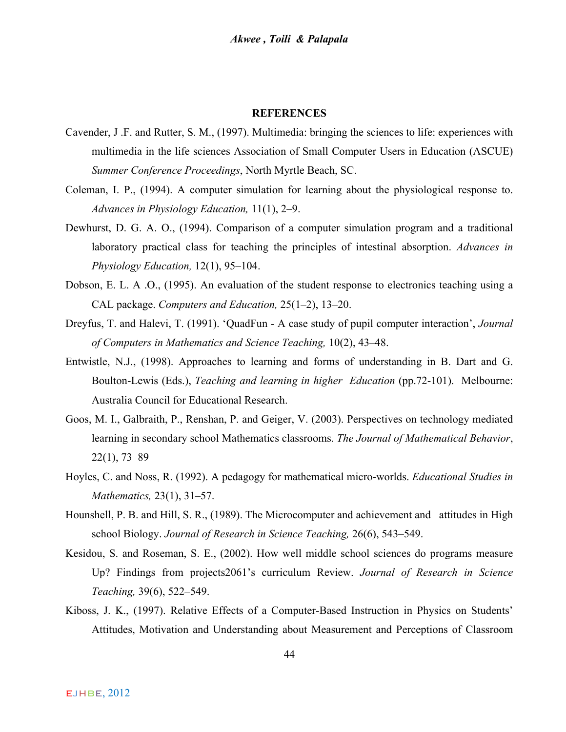#### **REFERENCES**

- Cavender, J .F. and Rutter, S. M., (1997). Multimedia: bringing the sciences to life: experiences with multimedia in the life sciences Association of Small Computer Users in Education (ASCUE) *Summer Conference Proceedings*, North Myrtle Beach, SC.
- Coleman, I. P., (1994). A computer simulation for learning about the physiological response to. *Advances in Physiology Education,* 11(1), 2–9.
- Dewhurst, D. G. A. O., (1994). Comparison of a computer simulation program and a traditional laboratory practical class for teaching the principles of intestinal absorption. *Advances in Physiology Education,* 12(1), 95–104.
- Dobson, E. L. A .O., (1995). An evaluation of the student response to electronics teaching using a CAL package. *Computers and Education,* 25(1–2), 13–20.
- Dreyfus, T. and Halevi, T. (1991). 'QuadFun A case study of pupil computer interaction', *Journal of Computers in Mathematics and Science Teaching,* 10(2), 43–48.
- Entwistle, N.J., (1998). Approaches to learning and forms of understanding in B. Dart and G. Boulton-Lewis (Eds.), *Teaching and learning in higher Education* (pp.72-101). Melbourne: Australia Council for Educational Research.
- Goos, M. I., Galbraith, P., Renshan, P. and Geiger, V. (2003). Perspectives on technology mediated learning in secondary school Mathematics classrooms. *The Journal of Mathematical Behavior*, 22(1), 73–89
- Hoyles, C. and Noss, R. (1992). A pedagogy for mathematical micro-worlds. *Educational Studies in Mathematics,* 23(1), 31–57.
- Hounshell, P. B. and Hill, S. R., (1989). The Microcomputer and achievement and attitudes in High school Biology. *Journal of Research in Science Teaching,* 26(6), 543–549.
- Kesidou, S. and Roseman, S. E., (2002). How well middle school sciences do programs measure Up? Findings from projects2061's curriculum Review. *Journal of Research in Science Teaching,* 39(6), 522–549.
- Kiboss, J. K., (1997). Relative Effects of a Computer-Based Instruction in Physics on Students' Attitudes, Motivation and Understanding about Measurement and Perceptions of Classroom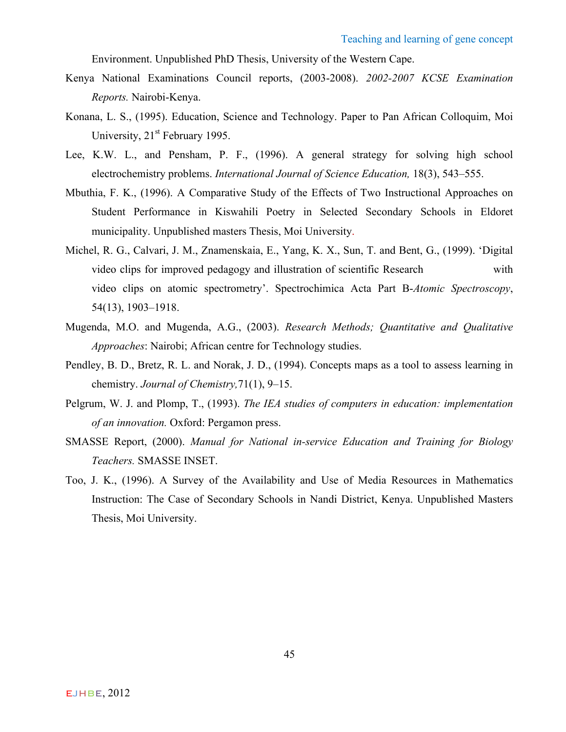Environment. Unpublished PhD Thesis, University of the Western Cape.

- Kenya National Examinations Council reports, (2003-2008). *2002-2007 KCSE Examination Reports.* Nairobi-Kenya.
- Konana, L. S., (1995). Education, Science and Technology. Paper to Pan African Colloquim, Moi University, 21<sup>st</sup> February 1995.
- Lee, K.W. L., and Pensham, P. F., (1996). A general strategy for solving high school electrochemistry problems. *International Journal of Science Education,* 18(3), 543–555.
- Mbuthia, F. K., (1996). A Comparative Study of the Effects of Two Instructional Approaches on Student Performance in Kiswahili Poetry in Selected Secondary Schools in Eldoret municipality. Unpublished masters Thesis, Moi University.
- Michel, R. G., Calvari, J. M., Znamenskaia, E., Yang, K. X., Sun, T. and Bent, G., (1999). 'Digital video clips for improved pedagogy and illustration of scientific Research with video clips on atomic spectrometry'. Spectrochimica Acta Part B-*Atomic Spectroscopy*, 54(13), 1903–1918.
- Mugenda, M.O. and Mugenda, A.G., (2003). *Research Methods; Quantitative and Qualitative Approaches*: Nairobi; African centre for Technology studies.
- Pendley, B. D., Bretz, R. L. and Norak, J. D., (1994). Concepts maps as a tool to assess learning in chemistry. *Journal of Chemistry,*71(1), 9–15.
- Pelgrum, W. J. and Plomp, T., (1993). *The IEA studies of computers in education: implementation of an innovation.* Oxford: Pergamon press.
- SMASSE Report, (2000). *Manual for National in-service Education and Training for Biology Teachers.* SMASSE INSET.
- Too, J. K., (1996). A Survey of the Availability and Use of Media Resources in Mathematics Instruction: The Case of Secondary Schools in Nandi District, Kenya. Unpublished Masters Thesis, Moi University.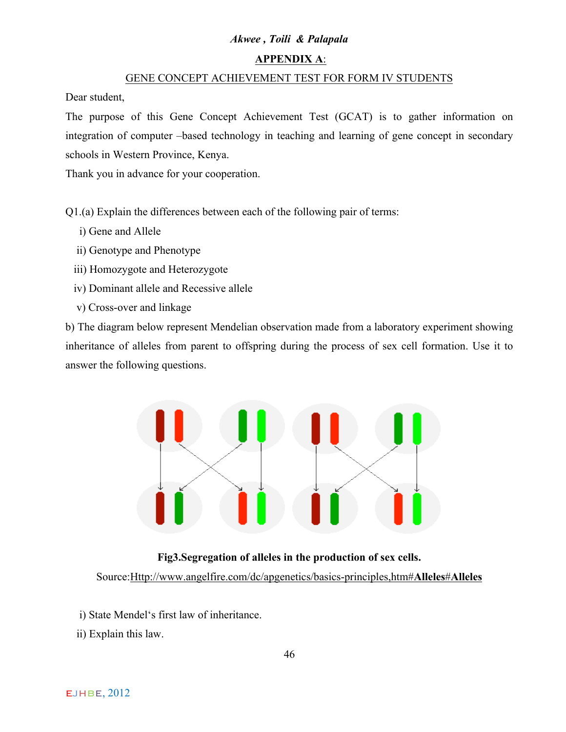# **APPENDIX A**:

#### GENE CONCEPT ACHIEVEMENT TEST FOR FORM IV STUDENTS

Dear student,

The purpose of this Gene Concept Achievement Test (GCAT) is to gather information on integration of computer –based technology in teaching and learning of gene concept in secondary schools in Western Province, Kenya.

Thank you in advance for your cooperation.

Q1.(a) Explain the differences between each of the following pair of terms:

- i) Gene and Allele
- ii) Genotype and Phenotype
- iii) Homozygote and Heterozygote
- iv) Dominant allele and Recessive allele
- v) Cross-over and linkage

b) The diagram below represent Mendelian observation made from a laboratory experiment showing inheritance of alleles from parent to offspring during the process of sex cell formation. Use it to answer the following questions.



# **Fig3.Segregation of alleles in the production of sex cells.** Source:Http://www.angelfire.com/dc/apgenetics/basics-principles,htm#**Alleles**#**Alleles**

- i) State Mendel's first law of inheritance.
- ii) Explain this law.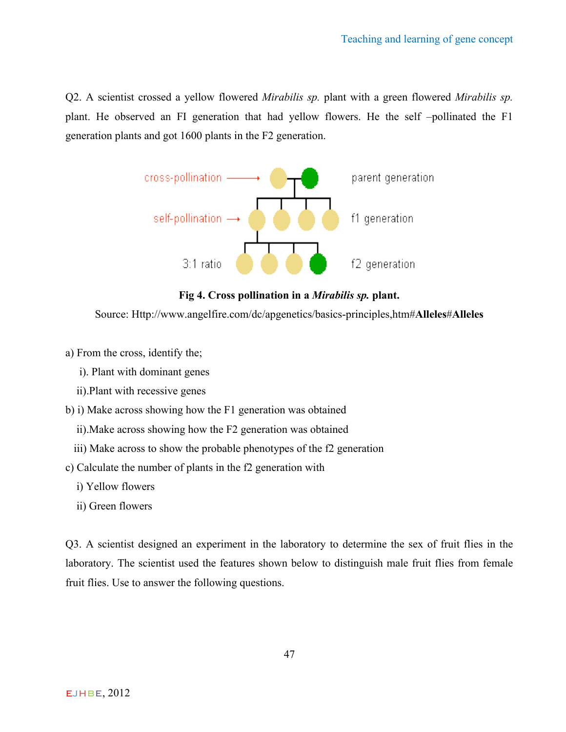Q2. A scientist crossed a yellow flowered *Mirabilis sp.* plant with a green flowered *Mirabilis sp.*  plant. He observed an FI generation that had yellow flowers. He the self –pollinated the F1 generation plants and got 1600 plants in the F2 generation.



**Fig 4. Cross pollination in a** *Mirabilis sp.* **plant.**

Source: Http://www.angelfire.com/dc/apgenetics/basics-principles,htm#**Alleles**#**Alleles**

- a) From the cross, identify the;
	- i). Plant with dominant genes
	- ii).Plant with recessive genes
- b) i) Make across showing how the F1 generation was obtained
	- ii).Make across showing how the F2 generation was obtained
	- iii) Make across to show the probable phenotypes of the f2 generation
- c) Calculate the number of plants in the f2 generation with
	- i) Yellow flowers
	- ii) Green flowers

Q3. A scientist designed an experiment in the laboratory to determine the sex of fruit flies in the laboratory. The scientist used the features shown below to distinguish male fruit flies from female fruit flies. Use to answer the following questions.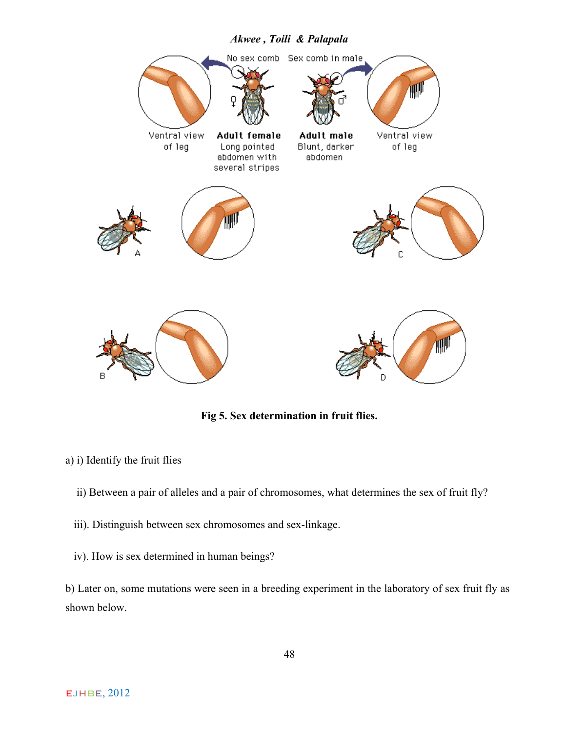

**Fig 5. Sex determination in fruit flies.**

- a) i) Identify the fruit flies
	- ii) Between a pair of alleles and a pair of chromosomes, what determines the sex of fruit fly?
	- iii). Distinguish between sex chromosomes and sex-linkage.
	- iv). How is sex determined in human beings?

b) Later on, some mutations were seen in a breeding experiment in the laboratory of sex fruit fly as shown below.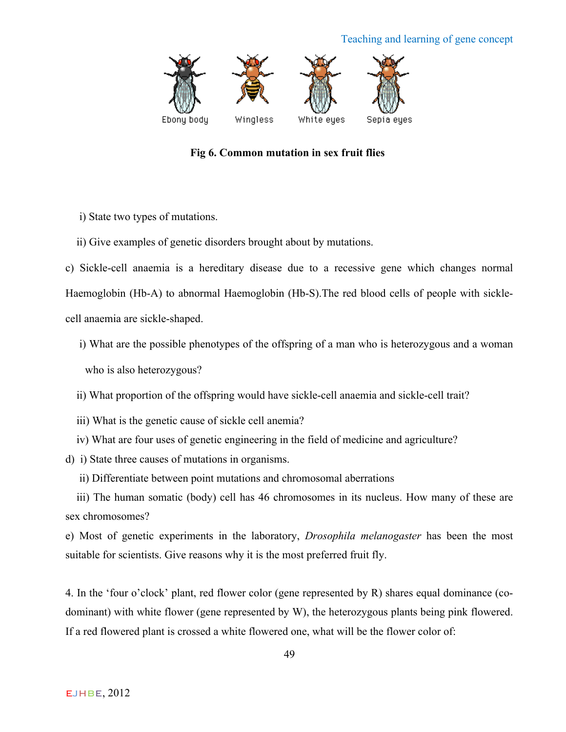# Teaching and learning of gene concept



**Fig 6. Common mutation in sex fruit flies**

i) State two types of mutations.

ii) Give examples of genetic disorders brought about by mutations.

c) Sickle-cell anaemia is a hereditary disease due to a recessive gene which changes normal Haemoglobin (Hb-A) to abnormal Haemoglobin (Hb-S).The red blood cells of people with sicklecell anaemia are sickle-shaped.

- i) What are the possible phenotypes of the offspring of a man who is heterozygous and a woman who is also heterozygous?
- ii) What proportion of the offspring would have sickle-cell anaemia and sickle-cell trait?
- iii) What is the genetic cause of sickle cell anemia?
- iv) What are four uses of genetic engineering in the field of medicine and agriculture?
- d) i) State three causes of mutations in organisms.
	- ii) Differentiate between point mutations and chromosomal aberrations

 iii) The human somatic (body) cell has 46 chromosomes in its nucleus. How many of these are sex chromosomes?

e) Most of genetic experiments in the laboratory, *Drosophila melanogaster* has been the most suitable for scientists. Give reasons why it is the most preferred fruit fly.

4. In the 'four o'clock' plant, red flower color (gene represented by R) shares equal dominance (codominant) with white flower (gene represented by W), the heterozygous plants being pink flowered. If a red flowered plant is crossed a white flowered one, what will be the flower color of: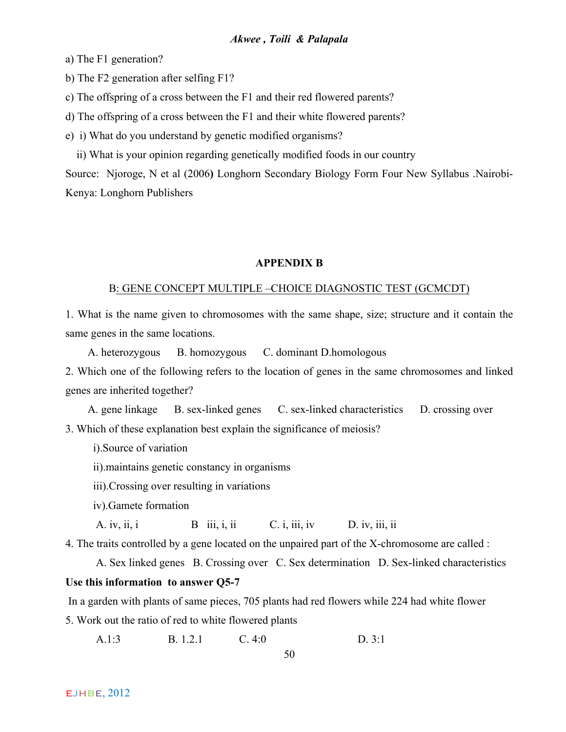a) The F1 generation?

b) The F2 generation after selfing F1?

c) The offspring of a cross between the F1 and their red flowered parents?

d) The offspring of a cross between the F1 and their white flowered parents?

e) i) What do you understand by genetic modified organisms?

ii) What is your opinion regarding genetically modified foods in our country

Source: Njoroge, N et al (2006**)** Longhorn Secondary Biology Form Four New Syllabus .Nairobi-Kenya: Longhorn Publishers

#### **APPENDIX B**

#### B: GENE CONCEPT MULTIPLE –CHOICE DIAGNOSTIC TEST (GCMCDT)

1. What is the name given to chromosomes with the same shape, size; structure and it contain the same genes in the same locations.

A. heterozygous B. homozygous C. dominant D.homologous

2. Which one of the following refers to the location of genes in the same chromosomes and linked genes are inherited together?

 A. gene linkage B. sex-linked genes C. sex-linked characteristics D. crossing over 3. Which of these explanation best explain the significance of meiosis?

i).Source of variation

ii).maintains genetic constancy in organisms

iii).Crossing over resulting in variations

iv).Gamete formation

A. iv, ii, i  $B$  iii, i, ii  $C$ . i, iii, iv  $D$ . iv, iii, ii

4. The traits controlled by a gene located on the unpaired part of the X-chromosome are called :

A. Sex linked genes B. Crossing over C. Sex determination D. Sex-linked characteristics

# **Use this information to answer Q5-7**

In a garden with plants of same pieces, 705 plants had red flowers while 224 had white flower

5. Work out the ratio of red to white flowered plants

A.1:3 B. 1.2.1 C. 4:0 D. 3:1

50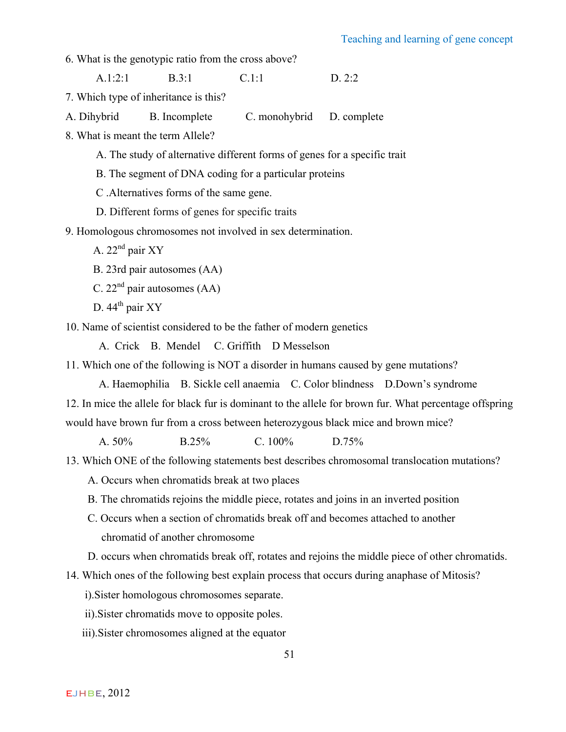6. What is the genotypic ratio from the cross above?

A.1:2:1 B.3:1 C.1:1 D. 2:2

- 7. Which type of inheritance is this?
- A. Dihybrid B. Incomplete C. monohybrid D. complete
- 8. What is meant the term Allele?
	- A. The study of alternative different forms of genes for a specific trait
	- B. The segment of DNA coding for a particular proteins
	- C .Alternatives forms of the same gene.
	- D. Different forms of genes for specific traits
- 9. Homologous chromosomes not involved in sex determination.
	- A.  $22<sup>nd</sup>$  pair XY
	- B. 23rd pair autosomes (AA)
	- C.  $22<sup>nd</sup>$  pair autosomes (AA)
	- D. 44<sup>th</sup> pair XY

10. Name of scientist considered to be the father of modern genetics

A. Crick B. Mendel C. Griffith D Messelson

11. Which one of the following is NOT a disorder in humans caused by gene mutations?

A. Haemophilia B. Sickle cell anaemia C. Color blindness D.Down's syndrome

12. In mice the allele for black fur is dominant to the allele for brown fur. What percentage offspring

would have brown fur from a cross between heterozygous black mice and brown mice?

A. 50% B.25% C. 100% D.75%

- 13. Which ONE of the following statements best describes chromosomal translocation mutations?
	- A. Occurs when chromatids break at two places
	- B. The chromatids rejoins the middle piece, rotates and joins in an inverted position
	- C. Occurs when a section of chromatids break off and becomes attached to another chromatid of another chromosome
	- D. occurs when chromatids break off, rotates and rejoins the middle piece of other chromatids.

14. Which ones of the following best explain process that occurs during anaphase of Mitosis?

i).Sister homologous chromosomes separate.

- ii).Sister chromatids move to opposite poles.
- iii).Sister chromosomes aligned at the equator